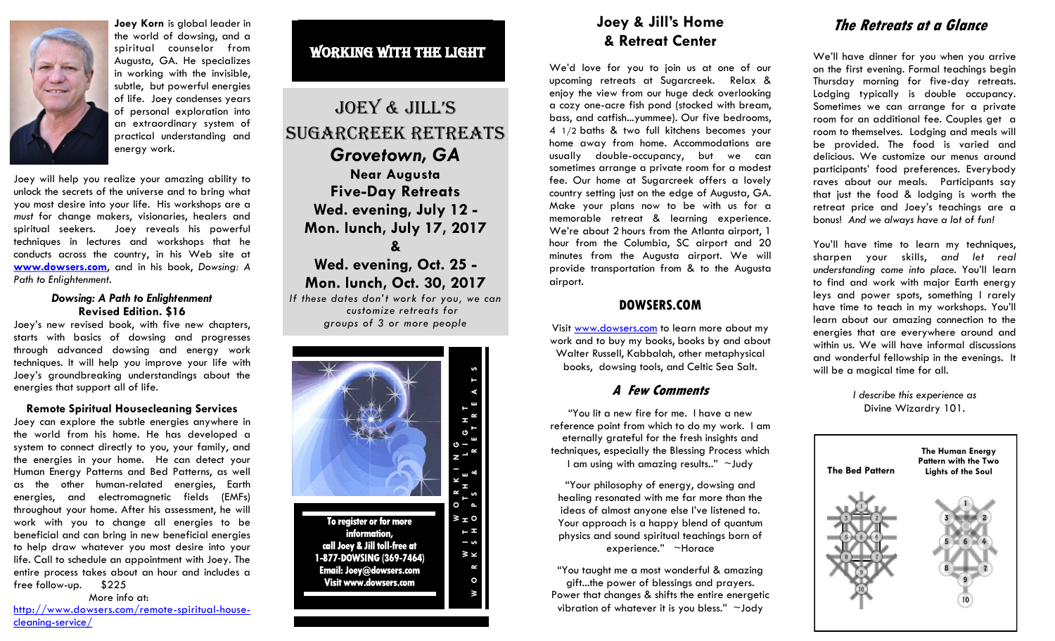

**Joey Korn** is global leader in the world of dowsing, and a spiritual counselor from Augusta, GA. He specializes in working with the invisible, subtle, but powerful energies of life. Joey condenses years of personal exploration into an extraordinary system of practical understanding and energy work.

Joey will help you realize your amazing ability to unlock the secrets of the universe and to bring what you most desire into your life. His workshops are a *must* for change makers, visionaries, healers and spiritual seekers. Joey reveals his powerful techniques in lectures and workshops that he conducts across the country, in his Web site at **[www.dowsers.com](http://dowsers.com)**, and in his book, *Dowsing: A Path to Enlightenment*.

#### *Dowsing: A Path to Enlightenment* **Revised Edition. \$16**

Joey's new revised book, with five new chapters, starts with basics of dowsing and progresses through advanced dowsing and energy work techniques. It will help you improve your life with Joey's groundbreaking understandings about the energies that support all of life.

#### **Remote Spiritual Housecleaning Services**

Joey can explore the subtle energies anywhere in the world from his home. He has developed a system to connect directly to you, your family, and the energies in your home. He can detect your Human Energy Patterns and Bed Patterns, as well as the other human-related energies, Earth energies, and electromagnetic fields (EMFs) throughout your home. After his assessment, he will work with you to change all energies to be beneficial and can bring in new beneficial energies to help draw whatever you most desire into your life. Call to schedule an appointment with Joey. The entire process takes about an hour and includes a free follow-up. \$225

#### More info at:

[http://www.dowsers.com/remote-spiritual-house](http://www.dowsers.com/remote-spiritual-house-cleaning-service/)[cleaning-service/](http://www.dowsers.com/remote-spiritual-house-cleaning-service/)

## WORKING WITH THE LIGHT

# Joey & Jill's Sugarcreek Retreats *Grovetown, GA*  **Near Augusta Five-Day Retreats Wed. evening, July 12 - Mon. lunch, July 17, 2017 &**

### **Wed. evening, Oct. 25 - Mon. lunch, Oct. 30, 2017** *If these dates don't work for you, we can*

*customize retreats for groups of 3 or more people*



## **Joey & Jill's Home & Retreat Center**

We'd love for you to join us at one of our upcoming retreats at Sugarcreek. Relax & enjoy the view from our huge deck overlooking a cozy one-acre fish pond (stocked with bream, bass, and catfish...yummee). Our five bedrooms, 4 1/2 baths & two full kitchens becomes your home away from home. Accommodations are usually double-occupancy, but we can sometimes arrange a private room for a modest fee. Our home at Sugarcreek offers a lovely country setting just on the edge of Augusta, GA. Make your plans now to be with us for a memorable retreat & learning experience. We're about 2 hours from the Atlanta airport, 1 hour from the Columbia, SC airport and 20 minutes from the Augusta airport. We will provide transportation from & to the Augusta airport.

### **DOWSERS.COM**

Visit [www.dowsers.com](http://dowsers.com) to learn more about my work and to buy my books, books by and about Walter Russell, Kabbalah, other metaphysical books, dowsing tools, and Celtic Sea Salt.

### **A Few Comments**

"You lit a new fire for me. I have a new reference point from which to do my work. I am eternally grateful for the fresh insights and techniques, especially the Blessing Process which I am using with amazing results.." ~Judy

"Your philosophy of energy, dowsing and healing resonated with me far more than the ideas of almost anyone else I've listened to. Your approach is a happy blend of quantum physics and sound spiritual teachings born of experience." ~Horace

"You taught me a most wonderful & amazing gift...the power of blessings and prayers. Power that changes & shifts the entire energetic vibration of whatever it is you bless." ~Jody

### **The Retreats at a Glance**

We'll have dinner for you when you arrive on the first evening. Formal teachings begin Thursday morning for five-day retreats. Lodging typically is double occupancy. Sometimes we can arrange for a private room for an additional fee. Couples get a room to themselves. Lodging and meals will be provided. The food is varied and delicious. We customize our menus around participants' food preferences. Everybody raves about our meals. Participants say that just the food & lodging is worth the retreat price and Joey's teachings are a bonus! *And we always have a lot of fun!*

You'll have time to learn my techniques, sharpen your skills, *and let real understanding come into place.* You'll learn to find and work with major Earth energy leys and power spots, something I rarely have time to teach in my workshops. You'll learn about our amazing connection to the energies that are everywhere around and within us. We will have informal discussions and wonderful fellowship in the evenings. It will be a magical time for all.

> *I describe this experience as*  Divine Wizardry 101.